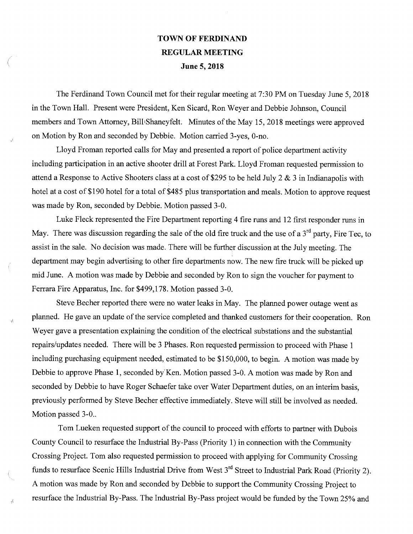## TOWN OF FERDINAND REGULAR MEETING June 5, 2018

The Ferdinand Town Council met for their regular meeting at 7:30 PM on Tuesday June 5, 2018 in the Town Hall. Present were President, Ken Sicard, Ron Weyer and Debbie Johnson, Council members and Town Attorney, Bill Shaneyfelt. Minutes of the May 15, 2018 meetings were approved on Motion by Ron and seconded by Debbie. Motion carried 3-yes, 0-no.

Lloyd Froman reported calls for May and presented a report of police department activity including participation in an active shooter drill at Forest Park. Lloyd Froman requested permission to attend a Response to Active Shooters class at a cost of \$295 to be held July 2 & 3 in Indianapolis with hotel at a cost of \$190 hotel for a total of \$485 plus transportation and meals. Motion to approve request was made by Ron, seconded by Debbie. Motion passed 3-0.

Luke Fleck represented the Fire Department reporting 4 fire runs and 12 first responder runs in May. There was discussion regarding the sale of the old fire truck and the use of a  $3<sup>rd</sup>$  party, Fire Tec, to assist in the sale. No decision was made. There will be further discussion at the July meeting. The department may begin advertising to other fire departments now. The new fire truck will be picked up mid June. A motion was made by Debbie and seconded by Ron to sign the voucher for payment to Ferrara Fire Apparatus, Inc. for \$499,178. Motion passed 3-0.

Steve Becher reported there were no water leaks in May. The planned power outage went as planned. He gave an update of the service completed and thanked customers for their cooperation. Ron Weyer gave a presentation explaining the condition of the electrical substations and the substantial repairs/updates needed. There will be 3 Phases. Ron requested permission to proceed with Phase 1 including purchasing equipment needed, estimated to be \$150,000, to begin. A motion was made by Debbie to approve Phase 1, seconded by Ken. Motion passed 3-0. A motion was made by Ron and seconded by Debbie to have Roger Schaefer take over Water Department duties, on an interim basis, previously performed by Steve Becher effective immediately. Steve will still be involved as needed. Motion passed 3-0..

۱ł

 $\vec{h}$ 

Tom Lueken requested support of the council to proceed with efforts to partner with Dubois County Council to resurface the Industrial By-Pass (Priority 1) in connection with the Community Crossing Project. Tom also requested permission to proceed with applying for Community Crossing funds to resurface Scenic Hills Industrial Drive from West 3<sup>rd</sup> Street to Industrial Park Road (Priority 2). A motion was made by Ron and seconded by Debbie to support the Community Crossing Project to resurface the Industrial By-Pass. The Industrial By-Pass project would be funded by the Town 25% and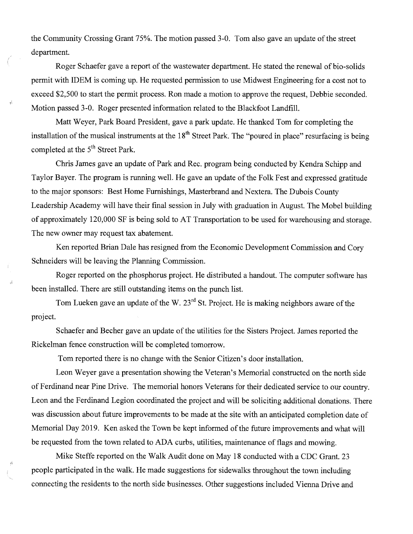the Community Crossing Grant 75%. The motion passed 3-0. Tom also gave an update of the street department.

Roger Schaefer gave a report of the wastewater department. He stated the renewal of bio-solids permit with IDEM is coming up. He requested permission to use Midwest Engineering for a cost not to exceed \$2,500 to start the permit process. Ron made a motion to approve the request, Debbie seconded. Motion passed 3-0. Roger presented information related to the Blackfoot Landfill.

Matt Weyer, Park Board President, gave a park update. He thanked Tom for completing the installation of the musical instruments at the  $18<sup>th</sup>$  Street Park. The "poured in place" resurfacing is being completed at the  $5<sup>th</sup>$  Street Park.

Chris James gave an update of Park and Rec. program being conducted by Kendra Schipp and Taylor Bayer. The program is running well. He gave an update of the Folk Fest and expressed gratitude to the major sponsors: Best Home Furnishings, Masterbrand and Nextera. The Dubois County Leadership Academy will have their final session in July with graduation in August. The Mobel building of approximately 120,000 SF is being sold to AT Transportation to be used for warehousing and storage. The new owner may request tax abatement.

Ken reported Brian Dale has resigned from the Economic Development Commission and Cory Schneiders will be leaving the Planning Commission.

Roger reported on the phosphorus project. He distributed a handout. The computer software has been installed. There are still outstanding items on the punch list.

Tom Lueken gave an update of the W.  $23<sup>rd</sup>$  St. Project. He is making neighbors aware of the project.

Schaefer and Becher gave an update of the utilities for the Sisters Project. James reported the Rickelman fence construction will be completed tomorrow.

Tom reported there is no change with the Senior Citizen's door installation.

Å.

Leon Weyer gave a presentation showing the Veteran's Memorial constructed on the north side of Ferdinand near Pine Drive. The memorial honors Veterans for their dedicated service to our country. Leon and the Ferdinand Legion coordinated the project and will be soliciting additional donations. There was discussion about future improvements to be made at the site with an anticipated completion date of Memorial Day 2019. Ken asked the Town be kept informed of the future improvements and what will be requested from the town related to ADA curbs, utilities, maintenance of flags and mowing.

Mike Steffe reported on the Walk Audit done on May 18 conducted with a CDC Grant. 23 people participated in the walk. He made suggestions for sidewalks throughout the town including connecting the residents to the north side businesses. Other suggestions included Vienna Drive and